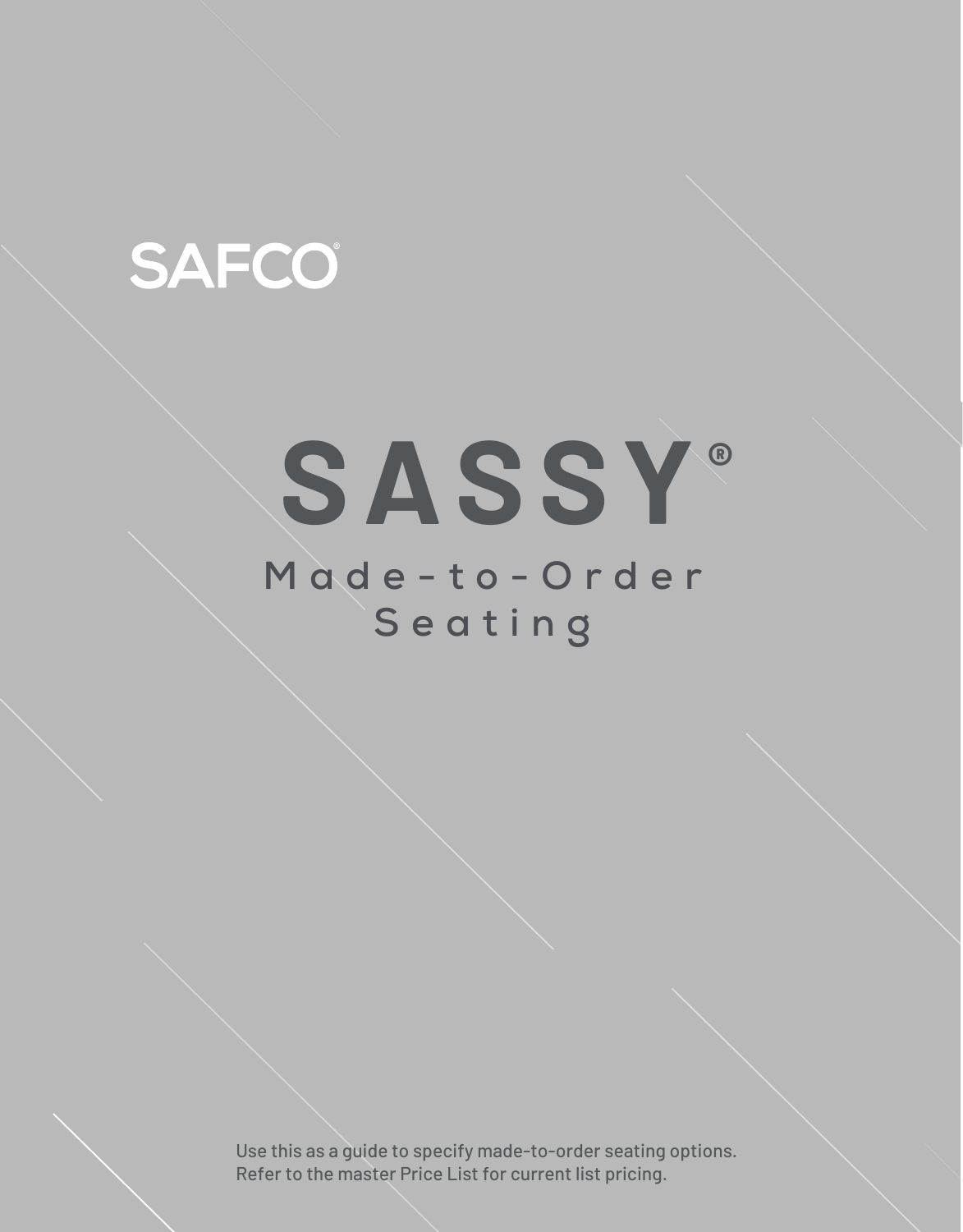## **SAFCO**

# **SASSY®**

### **Made-to-Order Seating**

Use this as a guide to specify made-to-order seating options. Refer to the master Price List for current list pricing.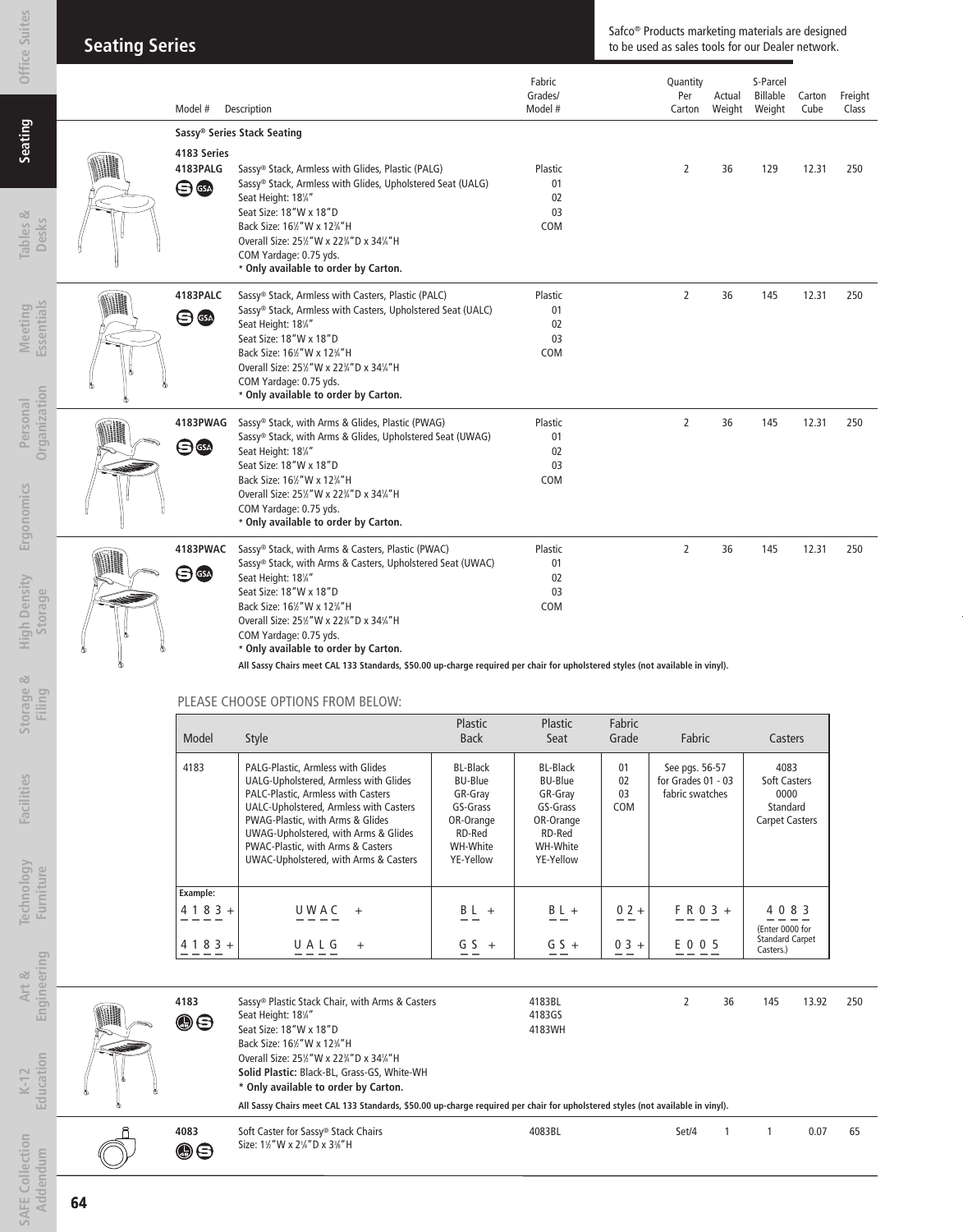| Office Suite                           | <b>Seating Series</b> |                                     |                                                                                                                                                                                                                                                                                                                                                                                                                                                        |                                                                                                          |                                                                                                          | Safco <sup>®</sup> Products marketing materials are designed<br>to be used as sales tools for our Dealer network. |                                                         |                  |                                                                          |                |                  |
|----------------------------------------|-----------------------|-------------------------------------|--------------------------------------------------------------------------------------------------------------------------------------------------------------------------------------------------------------------------------------------------------------------------------------------------------------------------------------------------------------------------------------------------------------------------------------------------------|----------------------------------------------------------------------------------------------------------|----------------------------------------------------------------------------------------------------------|-------------------------------------------------------------------------------------------------------------------|---------------------------------------------------------|------------------|--------------------------------------------------------------------------|----------------|------------------|
|                                        |                       | Model #                             | Description                                                                                                                                                                                                                                                                                                                                                                                                                                            |                                                                                                          | Fabric<br>Grades/<br>Model #                                                                             |                                                                                                                   | Quantity<br>Per<br>Carton                               | Actual<br>Weight | S-Parcel<br>Billable<br>Weight                                           | Carton<br>Cube | Freight<br>Class |
| Seating                                |                       | 4183 Series                         | Sassy® Series Stack Seating                                                                                                                                                                                                                                                                                                                                                                                                                            |                                                                                                          |                                                                                                          |                                                                                                                   |                                                         |                  |                                                                          |                |                  |
| Tables &<br>Desks                      |                       | 4183PALG<br>$\bigoplus$             | Sassy® Stack, Armless with Glides, Plastic (PALG)<br>Sassy® Stack, Armless with Glides, Upholstered Seat (UALG)<br>Seat Height: 181/4"<br>Seat Size: 18"W x 18"D<br>Back Size: 161/2" W x 123/4" H<br>Overall Size: 251/2" W x 223/4" D x 341/4" H<br>COM Yardage: 0.75 yds.<br>* Only available to order by Carton.                                                                                                                                   |                                                                                                          | Plastic<br>01<br>02<br>03<br><b>COM</b>                                                                  |                                                                                                                   | 2                                                       | 36               | 129                                                                      | 12.31          | 250              |
| Essentials<br>Meeting                  |                       | 4183PALC<br>$\bigoplus$ $\bigoplus$ | Sassy® Stack, Armless with Casters, Plastic (PALC)<br>Sassy® Stack, Armless with Casters, Upholstered Seat (UALC)<br>Seat Height: 181/4"<br>Seat Size: 18"W x 18"D<br>Back Size: 161/2" W x 123/4" H<br>Overall Size: 251/2" W x 223/4" D x 341/4" H<br>COM Yardage: 0.75 yds.<br>* Only available to order by Carton.                                                                                                                                 |                                                                                                          | Plastic<br>01<br>02<br>03<br>COM                                                                         |                                                                                                                   | 2                                                       | 36               | 145                                                                      | 12.31          | 250              |
| Organization<br>Personal<br>Ergonomics |                       | 4183PWAG<br>$\bigoplus$             | Sassy® Stack, with Arms & Glides, Plastic (PWAG)<br>Sassy® Stack, with Arms & Glides, Upholstered Seat (UWAG)<br>Seat Height: 181/4"<br>Seat Size: 18"W x 18"D<br>Back Size: 161/2" W x 123/4" H<br>Overall Size: 251/2" W x 223/4" D x 341/4" H<br>COM Yardage: 0.75 yds.<br>* Only available to order by Carton.                                                                                                                                     |                                                                                                          | Plastic<br>01<br>02<br>03<br><b>COM</b>                                                                  |                                                                                                                   | $\overline{2}$                                          | 36               | 145                                                                      | 12.31          | 250              |
| <b>High Density</b><br>Storage<br>ಿಠ   |                       | 4183PWAC<br>日露                      | Sassy® Stack, with Arms & Casters, Plastic (PWAC)<br>Sassy® Stack, with Arms & Casters, Upholstered Seat (UWAC)<br>Seat Height: 181/4"<br>Seat Size: 18"W x 18"D<br>Back Size: 161/2" W x 123/4" H<br>Overall Size: 251/2" W x 223/4" D x 341/4" H<br>COM Yardage: 0.75 yds.<br>* Only available to order by Carton.<br>All Sassy Chairs meet CAL 133 Standards, \$50.00 up-charge required per chair for upholstered styles (not available in vinyl). |                                                                                                          | Plastic<br>01<br>02<br>03<br><b>COM</b>                                                                  |                                                                                                                   | $\overline{2}$                                          | 36               | 145                                                                      | 12.31          | 250              |
| Storage<br>Filing                      |                       |                                     | PLEASE CHOOSE OPTIONS FROM BELOW:                                                                                                                                                                                                                                                                                                                                                                                                                      |                                                                                                          |                                                                                                          |                                                                                                                   |                                                         |                  |                                                                          |                |                  |
|                                        |                       | Model                               | Style                                                                                                                                                                                                                                                                                                                                                                                                                                                  | Plastic<br><b>Back</b>                                                                                   | Plastic<br>Seat                                                                                          | Fabric<br>Grade                                                                                                   | Fabric                                                  |                  | Casters                                                                  |                |                  |
| <b>Facilities</b>                      |                       | 4183                                | PALG-Plastic, Armless with Glides<br>UALG-Upholstered, Armless with Glides<br>PALC-Plastic, Armless with Casters<br>UALC-Upholstered, Armless with Casters<br>PWAG-Plastic, with Arms & Glides<br>UWAG-Upholstered, with Arms & Glides<br>PWAC-Plastic, with Arms & Casters<br>UWAC-Upholstered, with Arms & Casters                                                                                                                                   | <b>BL-Black</b><br><b>BU-Blue</b><br>GR-Gray<br>GS-Grass<br>OR-Orange<br>RD-Red<br>WH-White<br>YE-Yellow | <b>BL-Black</b><br><b>BU-Blue</b><br>GR-Gray<br>GS-Grass<br>OR-Orange<br>RD-Red<br>WH-White<br>YE-Yellow | 01<br>02<br>03<br>COM                                                                                             | See pgs. 56-57<br>for Grades 01 - 03<br>fabric swatches |                  | 4083<br><b>Soft Casters</b><br>0000<br>Standard<br><b>Carpet Casters</b> |                |                  |
| echnology<br>Furniture                 |                       | Example:<br>$4 1 8 3 +$             | UWAC<br>$+$                                                                                                                                                                                                                                                                                                                                                                                                                                            | $BL +$                                                                                                   | $B L +$                                                                                                  | $02 +$                                                                                                            | $F R 0 3 +$                                             |                  | 4 0 8 3                                                                  |                |                  |

**Art & Engineering Education**

| ሕ | 4183<br>00             | Sassy® Plastic Stack Chair, with Arms & Casters<br>Seat Height: 181/4"<br>Seat Size: 18"W x 18"D<br>Back Size: 16%"W x 12%"H<br>Overall Size: 25%"W x 22%"D x 34%"H<br>Solid Plastic: Black-BL, Grass-GS, White-WH<br>* Only available to order by Carton. | 4183BL<br>4183GS<br>4183WH |       | 36 | 145 | 13.92 | 250 |
|---|------------------------|------------------------------------------------------------------------------------------------------------------------------------------------------------------------------------------------------------------------------------------------------------|----------------------------|-------|----|-----|-------|-----|
|   |                        | All Sassy Chairs meet CAL 133 Standards, \$50.00 up-charge required per chair for upholstered styles (not available in vinyl).                                                                                                                             |                            |       |    |     |       |     |
|   | 4083<br>$\circledcirc$ | Soft Caster for Sassy® Stack Chairs<br>Size: 11/2" W x 21/4" D x 31/8" H                                                                                                                                                                                   | 4083BL                     | Set/4 |    |     | 0.07  | 65  |

 $\underline{4183+}$  <u>UALG</u> +  $\underline{G5+}$   $\underline{G5+}$   $\underline{G5+}$   $\underline{G5+}$   $\underline{G5+}$   $\underline{G5+}$   $\underline{G5+}$   $\underline{G5+}$   $\underline{G5+}$ 

(Enter 0000 for Standard Carpet Casters.)

**SAFE Collection Addendum**

**SAFE Collection** Addendum

**K-12**

**Office Suites**

**Technology** 

Technology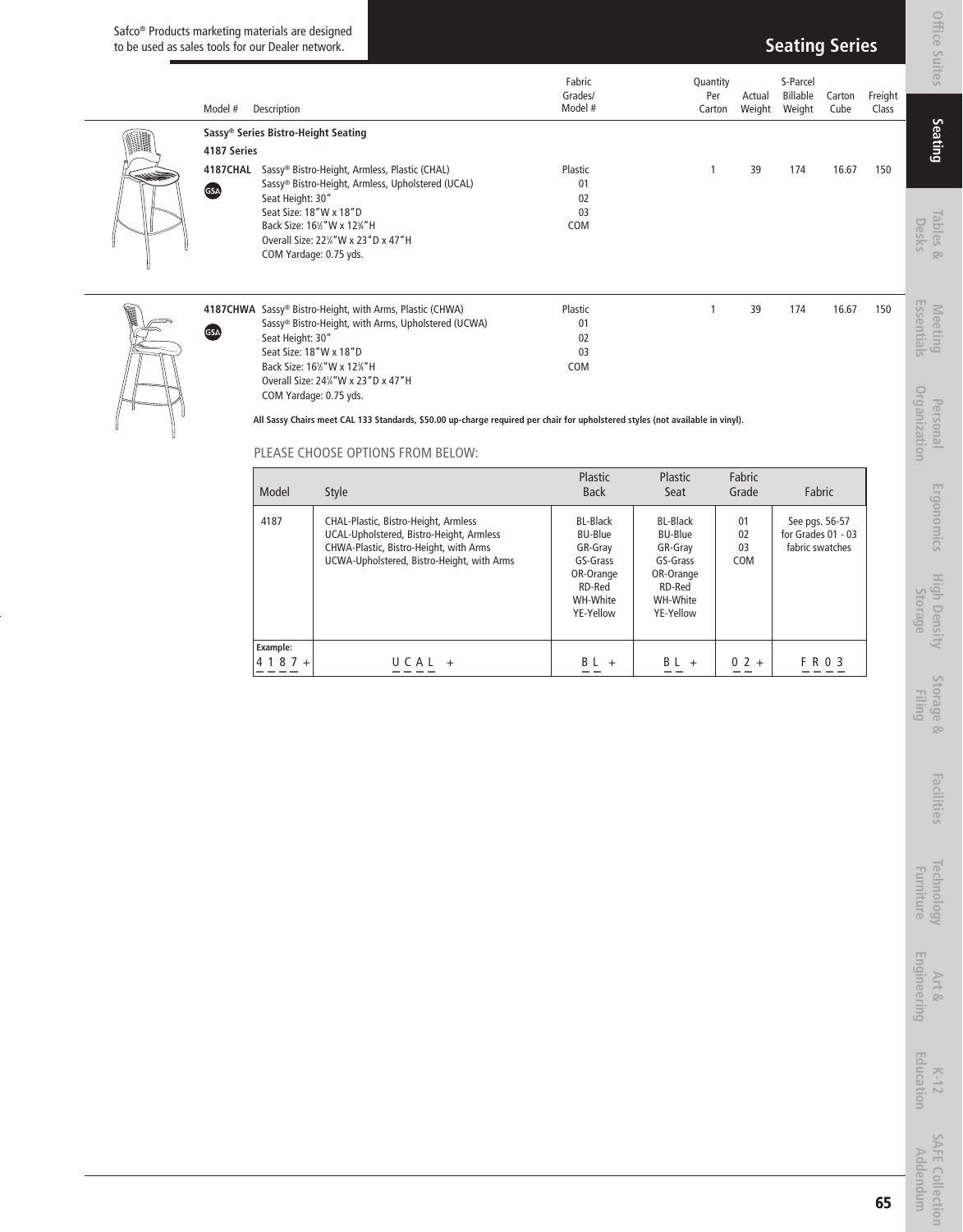#### Safco® Products marketing materials are designed to be used as sales tools for our Dealer network.

| Model #     | Description                                                          |                                                                                                                                                                                                               | Fabric<br>Grades/<br>Model #                             | Quantity                                                 | Per<br>Actual<br>Carton<br>Weight | S-Parcel<br>Billable<br>Weight | Carton<br>Cube                                          | Freight<br>Class |
|-------------|----------------------------------------------------------------------|---------------------------------------------------------------------------------------------------------------------------------------------------------------------------------------------------------------|----------------------------------------------------------|----------------------------------------------------------|-----------------------------------|--------------------------------|---------------------------------------------------------|------------------|
| 4187 Series | Sassy® Series Bistro-Height Seating                                  | 4187CHAL Sassy® Bistro-Height, Armless, Plastic (CHAL)                                                                                                                                                        | Plastic                                                  |                                                          | $\mathbf{1}$<br>39                | 174                            | 16.67                                                   | 150              |
| GSA         | Seat Height: 30"<br>Seat Size: 18"W x 18"D<br>COM Yardage: 0.75 yds. | Sassy® Bistro-Height, Armless, Upholstered (UCAL)<br>Back Size: 161/2" W x 123/4" H<br>Overall Size: 221/4" W x 23" D x 47" H                                                                                 | 01<br>02<br>03<br>COM                                    |                                                          |                                   |                                |                                                         |                  |
| GSA         | Seat Height: 30"<br>Seat Size: 18"W x 18"D                           | 4187CHWA Sassy® Bistro-Height, with Arms, Plastic (CHWA)<br>Sassy® Bistro-Height, with Arms, Upholstered (UCWA)<br>Back Size: 161/2" W x 123/4" H                                                             | Plastic<br>01<br>02<br>03<br>COM                         | $\mathbf{1}$                                             | 39                                | 174                            | 16.67                                                   | 150              |
|             | COM Yardage: 0.75 yds.                                               | Overall Size: 241/4" W x 23" D x 47" H<br>All Sassy Chairs meet CAL 133 Standards, \$50.00 up-charge required per chair for upholstered styles (not available in vinyl).<br>PLEASE CHOOSE OPTIONS FROM BELOW: |                                                          |                                                          |                                   |                                |                                                         |                  |
|             | Model                                                                | <b>Style</b>                                                                                                                                                                                                  | Plastic<br><b>Back</b>                                   | Plastic<br>Seat                                          | Fabric<br>Grade                   |                                | Fabric                                                  |                  |
|             | 4187                                                                 | CHAL-Plastic, Bistro-Height, Armless<br>UCAL-Upholstered, Bistro-Height, Armless<br>CHWA-Plastic, Bistro-Height, with Arms<br>UCWA-Upholstered, Bistro-Height, with Arms                                      | <b>BL-Black</b><br><b>BU-Blue</b><br>GR-Gray<br>GS-Grass | <b>BL-Black</b><br><b>BU-Blue</b><br>GR-Gray<br>GS-Grass | 01<br>02<br>03<br>COM             |                                | See pgs. 56-57<br>for Grades 01 - 03<br>fabric swatches |                  |
|             |                                                                      |                                                                                                                                                                                                               | OR-Orange<br>RD-Red<br>WH-White<br>YE-Yellow             | OR-Orange<br>RD-Red<br>WH-White<br>YE-Yellow             |                                   |                                |                                                         |                  |
|             | Example:<br>$4187 +$                                                 | $U C A L +$                                                                                                                                                                                                   | $BL +$                                                   | $BL +$                                                   | $0 2 +$                           |                                | F R 0 3                                                 |                  |
|             |                                                                      |                                                                                                                                                                                                               |                                                          |                                                          |                                   |                                |                                                         |                  |

| Model                      | <b>Style</b>                                                                                                                                                             | Plastic<br><b>Back</b>                                                                                   | Plastic<br>Seat                                                                                   | Fabric<br>Grade       | Fabric                                                    |
|----------------------------|--------------------------------------------------------------------------------------------------------------------------------------------------------------------------|----------------------------------------------------------------------------------------------------------|---------------------------------------------------------------------------------------------------|-----------------------|-----------------------------------------------------------|
| 4187                       | CHAL-Plastic, Bistro-Height, Armless<br>UCAL-Upholstered, Bistro-Height, Armless<br>CHWA-Plastic, Bistro-Height, with Arms<br>UCWA-Upholstered, Bistro-Height, with Arms | <b>BL-Black</b><br><b>BU-Blue</b><br>GR-Gray<br>GS-Grass<br>OR-Orange<br>RD-Red<br>WH-White<br>YE-Yellow | BL-Black<br><b>BU-Blue</b><br>GR-Gray<br>GS-Grass<br>OR-Orange<br>RD-Red<br>WH-White<br>YE-Yellow | 01<br>02<br>03<br>COM | See pgs. 56-57<br>for Grades $01 - 03$<br>fabric swatches |
| <b>Example:</b><br>$4187+$ | $II \cap \Delta I$<br>$\ddot{}$                                                                                                                                          | R I<br>$+$                                                                                               | ΒI<br>$+$                                                                                         | $0.2 +$               | F R 0 3                                                   |



**Technology Furniture**

Technology<br>Furniture

Art &<br>**Engineering Engineering**

K-12<br>**Education Education**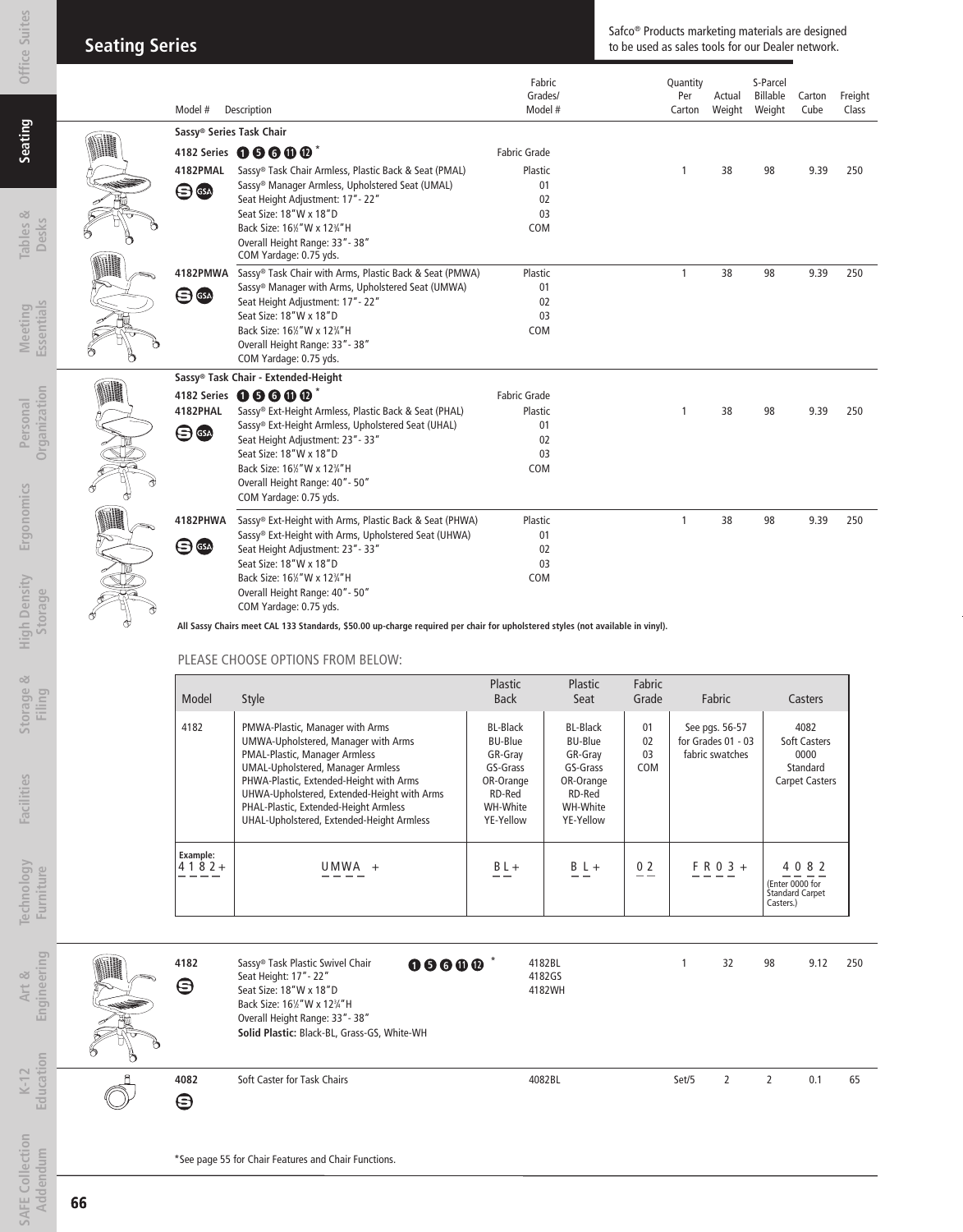| <b>Seating Series</b> |  |
|-----------------------|--|
|                       |  |

#### Safco® Products marketing materials are designed to be used as sales tools for our Dealer network.

| Model #                   | Description                                                                                                                    | Fabric<br>Grades/<br>Model # | Quantity<br>Per<br>Carton | Actual<br>Weight | S-Parcel<br>Billable<br>Weight | Carton<br>Cube | Freight<br>Class |
|---------------------------|--------------------------------------------------------------------------------------------------------------------------------|------------------------------|---------------------------|------------------|--------------------------------|----------------|------------------|
| Sassy® Series Task Chair  |                                                                                                                                |                              |                           |                  |                                |                |                  |
|                           | 4182 Series 0000 <sup>*</sup>                                                                                                  | Fabric Grade                 |                           |                  |                                |                |                  |
| 4182PMAL                  | Sassy® Task Chair Armless, Plastic Back & Seat (PMAL)                                                                          | Plastic                      | 1                         | 38               | 98                             | 9.39           | 250              |
| $\bm{\Theta}$ GeV         | Sassy <sup>®</sup> Manager Armless, Upholstered Seat (UMAL)                                                                    | 01                           |                           |                  |                                |                |                  |
|                           | Seat Height Adjustment: 17" - 22"                                                                                              | 02                           |                           |                  |                                |                |                  |
|                           | Seat Size: 18"W x 18"D                                                                                                         | 03                           |                           |                  |                                |                |                  |
|                           | Back Size: 161/2" W x 123/4" H                                                                                                 | COM                          |                           |                  |                                |                |                  |
|                           | Overall Height Range: 33" - 38"                                                                                                |                              |                           |                  |                                |                |                  |
|                           | COM Yardage: 0.75 yds.                                                                                                         |                              |                           |                  |                                |                |                  |
| 4182PMWA                  | Sassy® Task Chair with Arms, Plastic Back & Seat (PMWA)                                                                        | Plastic                      | 1                         | 38               | 98                             | 9.39           | 250              |
| ⊜<br><b>GSA</b>           | Sassy <sup>®</sup> Manager with Arms, Upholstered Seat (UMWA)                                                                  | 01                           |                           |                  |                                |                |                  |
|                           | Seat Height Adjustment: 17" - 22"                                                                                              | 02                           |                           |                  |                                |                |                  |
|                           | Seat Size: 18"W x 18"D                                                                                                         | 03                           |                           |                  |                                |                |                  |
|                           | Back Size: 161/2" W x 123/4" H                                                                                                 | COM                          |                           |                  |                                |                |                  |
|                           | Overall Height Range: 33" - 38"                                                                                                |                              |                           |                  |                                |                |                  |
|                           | COM Yardage: 0.75 yds.                                                                                                         |                              |                           |                  |                                |                |                  |
|                           | Sassy® Task Chair - Extended-Height                                                                                            |                              |                           |                  |                                |                |                  |
|                           | 4182 Series 06600 <sup>*</sup>                                                                                                 | <b>Fabric Grade</b>          |                           |                  |                                |                |                  |
| 4182PHAL                  | Sassy® Ext-Height Armless, Plastic Back & Seat (PHAL)                                                                          | Plastic                      | 1                         | 38               | 98                             | 9.39           | 250              |
|                           | Sassy® Ext-Height Armless, Upholstered Seat (UHAL)                                                                             | 01                           |                           |                  |                                |                |                  |
| $\bm{\Theta}$ $\bm{\Phi}$ | Seat Height Adjustment: 23" - 33"                                                                                              | 02                           |                           |                  |                                |                |                  |
|                           | Seat Size: 18"W x 18"D                                                                                                         | 03                           |                           |                  |                                |                |                  |
|                           | Back Size: 161/2" W x 123/4" H                                                                                                 | COM                          |                           |                  |                                |                |                  |
|                           | Overall Height Range: 40" - 50"                                                                                                |                              |                           |                  |                                |                |                  |
|                           | COM Yardage: 0.75 yds.                                                                                                         |                              |                           |                  |                                |                |                  |
| 4182PHWA                  | Sassy® Ext-Height with Arms, Plastic Back & Seat (PHWA)                                                                        | Plastic                      | 1                         | 38               | 98                             | 9.39           | 250              |
|                           | Sassy® Ext-Height with Arms, Upholstered Seat (UHWA)                                                                           | 01                           |                           |                  |                                |                |                  |
| $\bigoplus$               | Seat Height Adjustment: 23" - 33"                                                                                              | 02                           |                           |                  |                                |                |                  |
|                           | Seat Size: 18"W x 18"D                                                                                                         | 0 <sup>3</sup>               |                           |                  |                                |                |                  |
|                           | Back Size: 161/2" W x 123/4" H                                                                                                 | COM                          |                           |                  |                                |                |                  |
|                           | Overall Height Range: 40" - 50"                                                                                                |                              |                           |                  |                                |                |                  |
|                           | COM Yardage: 0.75 yds.                                                                                                         |                              |                           |                  |                                |                |                  |
|                           | All Sassy Chairs meet CAL 133 Standards, \$50.00 up-charge required per chair for upholstered styles (not available in vinyl). |                              |                           |                  |                                |                |                  |

 **All Sassy Chairs meet CAL 133 Standards, \$50.00 up-charge required per chair for upholstered styles (not available in vinyl).**

#### PLEASE CHOOSE OPTIONS FROM BELOW:

| Model               | Style                                                                                                                                                                                                                                                                                                                               | Plastic<br><b>Back</b>                                                                     | Plastic<br>Seat                                                                                          | Fabric<br>Grade       | Fabric                                                    | Casters                                                           |
|---------------------|-------------------------------------------------------------------------------------------------------------------------------------------------------------------------------------------------------------------------------------------------------------------------------------------------------------------------------------|--------------------------------------------------------------------------------------------|----------------------------------------------------------------------------------------------------------|-----------------------|-----------------------------------------------------------|-------------------------------------------------------------------|
| 4182                | PMWA-Plastic, Manager with Arms<br>UMWA-Upholstered, Manager with Arms<br>PMAL-Plastic, Manager Armless<br><b>UMAL-Upholstered, Manager Armless</b><br>PHWA-Plastic, Extended-Height with Arms<br>UHWA-Upholstered, Extended-Height with Arms<br>PHAL-Plastic, Extended-Height Armless<br>UHAL-Upholstered, Extended-Height Armless | BL-Black<br>BU-Blue<br>GR-Grav<br>GS-Grass<br>OR-Orange<br>RD-Red<br>WH-White<br>YE-Yellow | <b>BL-Black</b><br><b>BU-Blue</b><br>GR-Grav<br>GS-Grass<br>OR-Orange<br>RD-Red<br>WH-White<br>YE-Yellow | 01<br>02<br>03<br>COM | See pgs. 56-57<br>for Grades $01 - 03$<br>fabric swatches | 4082<br>Soft Casters<br>0000<br>Standard<br><b>Carpet Casters</b> |
| Example:<br>$4182+$ | II MWA                                                                                                                                                                                                                                                                                                                              | $BL +$                                                                                     | $B L +$                                                                                                  | 0 <sub>2</sub>        | $F R 0 3 +$                                               | 4082<br>(Enter 0000 for<br><b>Standard Carpet</b><br>Casters.)    |

| 8 | 4182<br>Θ | 00000<br>Sassy® Task Plastic Swivel Chair<br>Seat Height: 17" - 22"<br>Seat Size: 18"W x 18"D<br>Back Size: 16 <sup>1</sup> / <sub>2</sub> " W x 12 <sup>3</sup> / <sub>4</sub> " H<br>Overall Height Range: 33" - 38"<br>Solid Plastic: Black-BL, Grass-GS, White-WH | 4182BL<br>4182GS<br>4182WH |       | 32 | 98 | 9.12 | 250 |
|---|-----------|-----------------------------------------------------------------------------------------------------------------------------------------------------------------------------------------------------------------------------------------------------------------------|----------------------------|-------|----|----|------|-----|
|   | 4082<br>⊖ | Soft Caster for Task Chairs                                                                                                                                                                                                                                           | 4082BL                     | Set/5 |    |    | 0.1  | 65  |

\*See page 55 for Chair Features and Chair Functions.

**Tables & Desks**

**SAFE Collection Addendum**

**SAFE Collection** Addendum

**Art & Engineering** 

Engineering